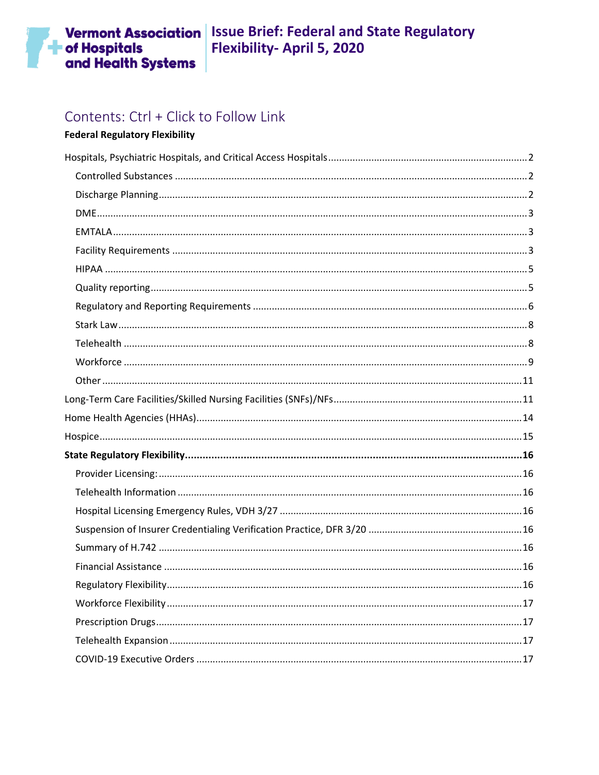# Contents: Ctrl + Click to Follow Link

## **Federal Regulatory Flexibility**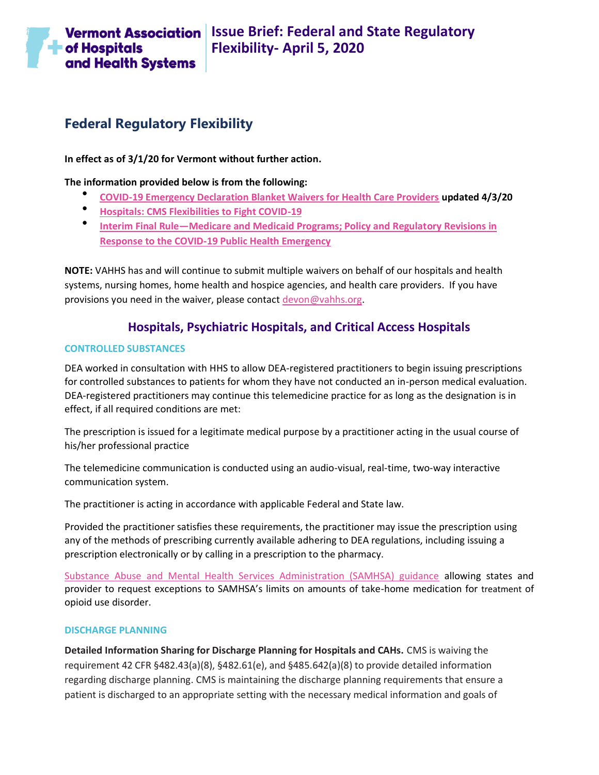

## **Federal Regulatory Flexibility**

**In effect as of 3/1/20 for Vermont without further action.**

**The information provided below is from the following:**

- **[COVID-19 Emergency Declaration Blanket Waivers for Health Care Providers](https://www.cms.gov/files/document/summary-covid-19-emergency-declaration-waivers.pdf) updated 4/3/20**
- **[Hospitals: CMS Flexibilities to Fight COVID-19](https://www.cms.gov/files/document/covid-hospitals.pdf)**
- **Interim Final Rule—[Medicare and Medicaid Programs; Policy and Regulatory Revisions in](https://www.cms.gov/files/document/covid-final-ifc.pdf)  [Response to the COVID-19 Public Health Emergency](https://www.cms.gov/files/document/covid-final-ifc.pdf)**

**NOTE:** VAHHS has and will continue to submit multiple waivers on behalf of our hospitals and health systems, nursing homes, home health and hospice agencies, and health care providers. If you have provisions you need in the waiver, please contact [devon@vahhs.org.](mailto:devon@vahhs.org)

## **Hospitals, Psychiatric Hospitals, and Critical Access Hospitals**

### <span id="page-1-1"></span><span id="page-1-0"></span>**CONTROLLED SUBSTANCES**

DEA worked in consultation with HHS to allow DEA-registered practitioners to begin issuing prescriptions for controlled substances to patients for whom they have not conducted an in-person medical evaluation. DEA-registered practitioners may continue this telemedicine practice for as long as the designation is in effect, if all required conditions are met:

The prescription is issued for a legitimate medical purpose by a practitioner acting in the usual course of his/her professional practice

The telemedicine communication is conducted using an audio-visual, real-time, two-way interactive communication system.

The practitioner is acting in accordance with applicable Federal and State law.

Provided the practitioner satisfies these requirements, the practitioner may issue the prescription using any of the methods of prescribing currently available adhering to DEA regulations, including issuing a prescription electronically or by calling in a prescription to the pharmacy.

[Substance Abuse and Mental Health Services Administration \(SAMHSA\) guidance](https://www.samhsa.gov/sites/default/files/otp-guidance-20200316.pdf) allowing states and provider to request exceptions to SAMHSA's limits on amounts of take-home medication for treatment of opioid use disorder.

## <span id="page-1-2"></span>**DISCHARGE PLANNING**

**Detailed Information Sharing for Discharge Planning for Hospitals and CAHs.** CMS is waiving the requirement 42 CFR §482.43(a)(8), §482.61(e), and §485.642(a)(8) to provide detailed information regarding discharge planning. CMS is maintaining the discharge planning requirements that ensure a patient is discharged to an appropriate setting with the necessary medical information and goals of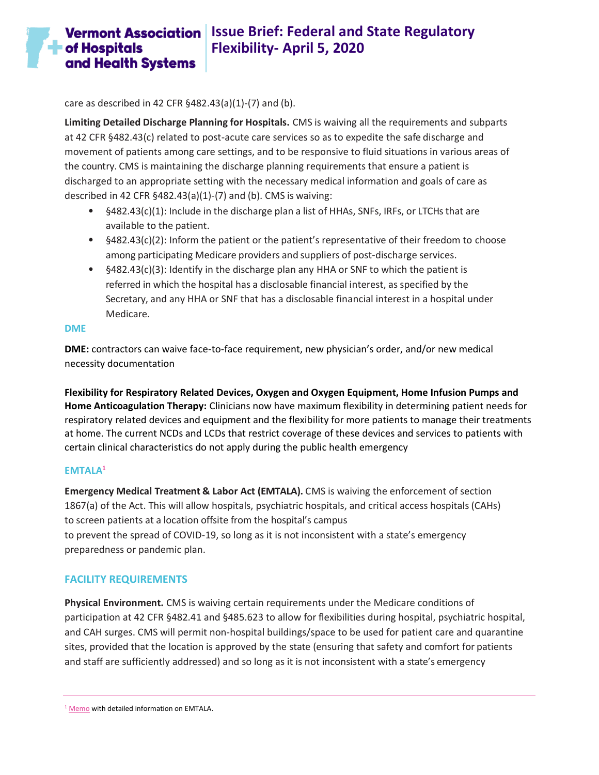**Vermont Association** Issue Brief: Federal and State Regulatory **Flexibility- April 5, 2020**  and Health Systems

care as described in 42 CFR §482.43(a)(1)-(7) and (b).

**Limiting Detailed Discharge Planning for Hospitals.** CMS is waiving all the requirements and subparts at 42 CFR §482.43(c) related to post-acute care services so as to expedite the safe discharge and movement of patients among care settings, and to be responsive to fluid situations in various areas of the country. CMS is maintaining the discharge planning requirements that ensure a patient is discharged to an appropriate setting with the necessary medical information and goals of care as described in 42 CFR §482.43(a)(1)-(7) and (b). CMS is waiving:

- §482.43(c)(1): Include in the discharge plan a list of HHAs, SNFs, IRFs, or LTCHs that are available to the patient.
- §482.43(c)(2): Inform the patient or the patient's representative of their freedom to choose among participating Medicare providers and suppliers of post-discharge services.
- §482.43(c)(3): Identify in the discharge plan any HHA or SNF to which the patient is referred in which the hospital has a disclosable financial interest, as specified by the Secretary, and any HHA or SNF that has a disclosable financial interest in a hospital under Medicare.

#### <span id="page-2-0"></span>**DME**

 $\blacksquare$  of Hospitals

**DME:** contractors can waive face-to-face requirement, new physician's order, and/or new medical necessity documentation

**Flexibility for Respiratory Related Devices, Oxygen and Oxygen Equipment, Home Infusion Pumps and Home Anticoagulation Therapy:** Clinicians now have maximum flexibility in determining patient needs for respiratory related devices and equipment and the flexibility for more patients to manage their treatments at home. The current NCDs and LCDs that restrict coverage of these devices and services to patients with certain clinical characteristics do not apply during the public health emergency

### <span id="page-2-1"></span>**EMTALA<sup>1</sup>**

**Emergency Medical Treatment & Labor Act (EMTALA).** CMS is waiving the enforcement of section 1867(a) of the Act. This will allow hospitals, psychiatric hospitals, and critical access hospitals (CAHs) to screen patients at a location offsite from the hospital's campus to prevent the spread of COVID-19, so long as it is not inconsistent with a state's emergency preparedness or pandemic plan.

## <span id="page-2-2"></span>**FACILITY REQUIREMENTS**

**Physical Environment.** CMS is waiving certain requirements under the Medicare conditions of participation at 42 CFR §482.41 and §485.623 to allow for flexibilities during hospital, psychiatric hospital, and CAH surges. CMS will permit non-hospital buildings/space to be used for patient care and quarantine sites, provided that the location is approved by the state (ensuring that safety and comfort for patients and staff are sufficiently addressed) and so long as it is not inconsistent with a state's emergency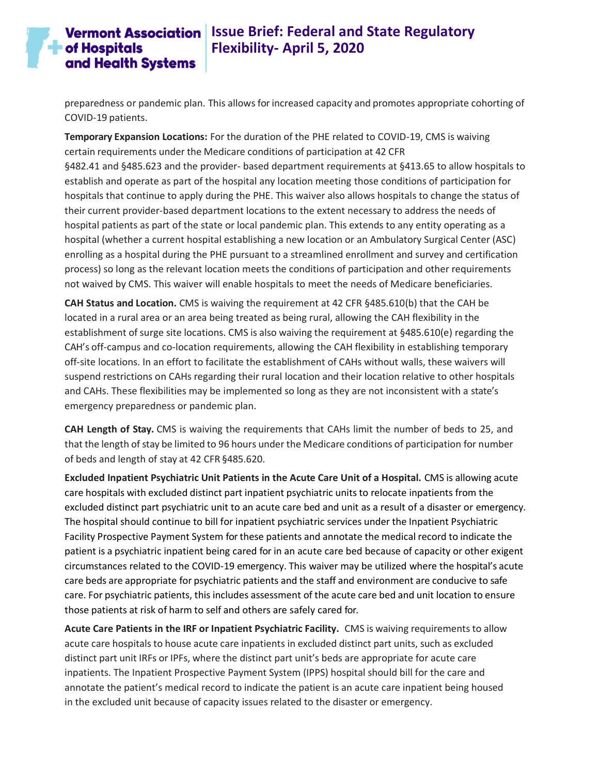## **Vermont Association** Issue Brief: Federal and State Regulatory **Flexibility- April 5, 2020**

preparedness or pandemic plan. This allows for increased capacity and promotes appropriate cohorting of COVID-19 patients.

**Temporary Expansion Locations:** For the duration of the PHE related to COVID-19, CMS is waiving certain requirements under the Medicare conditions of participation at 42 CFR §482.41 and §485.623 and the provider- based department requirements at §413.65 to allow hospitals to establish and operate as part of the hospital any location meeting those conditions of participation for hospitals that continue to apply during the PHE. This waiver also allows hospitals to change the status of their current provider-based department locations to the extent necessary to address the needs of hospital patients as part of the state or local pandemic plan. This extends to any entity operating as a hospital (whether a current hospital establishing a new location or an Ambulatory Surgical Center (ASC) enrolling as a hospital during the PHE pursuant to a streamlined enrollment and survey and certification process) so long as the relevant location meets the conditions of participation and other requirements not waived by CMS. This waiver will enable hospitals to meet the needs of Medicare beneficiaries.

**CAH Status and Location.** CMS is waiving the requirement at 42 CFR §485.610(b) that the CAH be located in a rural area or an area being treated as being rural, allowing the CAH flexibility in the establishment of surge site locations. CMS is also waiving the requirement at §485.610(e) regarding the CAH's off-campus and co-location requirements, allowing the CAH flexibility in establishing temporary off-site locations. In an effort to facilitate the establishment of CAHs without walls, these waivers will suspend restrictions on CAHs regarding their rural location and their location relative to other hospitals and CAHs. These flexibilities may be implemented so long as they are not inconsistent with a state's emergency preparedness or pandemic plan.

**CAH Length of Stay.** CMS is waiving the requirements that CAHs limit the number of beds to 25, and that the length of stay be limited to 96 hours under the Medicare conditions of participation for number of beds and length of stay at 42 CFR §485.620.

**Excluded Inpatient Psychiatric Unit Patients in the Acute Care Unit of a Hospital.** CMS is allowing acute care hospitals with excluded distinct part inpatient psychiatric units to relocate inpatients from the excluded distinct part psychiatric unit to an acute care bed and unit as a result of a disaster or emergency. The hospital should continue to bill for inpatient psychiatric services under the Inpatient Psychiatric Facility Prospective Payment System for these patients and annotate the medical record to indicate the patient is a psychiatric inpatient being cared for in an acute care bed because of capacity or other exigent circumstances related to the COVID-19 emergency. This waiver may be utilized where the hospital's acute care beds are appropriate for psychiatric patients and the staff and environment are conducive to safe care. For psychiatric patients, this includes assessment of the acute care bed and unit location to ensure those patients at risk of harm to self and others are safely cared for.

**Acute Care Patients in the IRF or Inpatient Psychiatric Facility.** CMS is waiving requirements to allow acute care hospitals to house acute care inpatients in excluded distinct part units, such as excluded distinct part unit IRFs or IPFs, where the distinct part unit's beds are appropriate for acute care inpatients. The Inpatient Prospective Payment System (IPPS) hospital should bill for the care and annotate the patient's medical record to indicate the patient is an acute care inpatient being housed in the excluded unit because of capacity issues related to the disaster or emergency.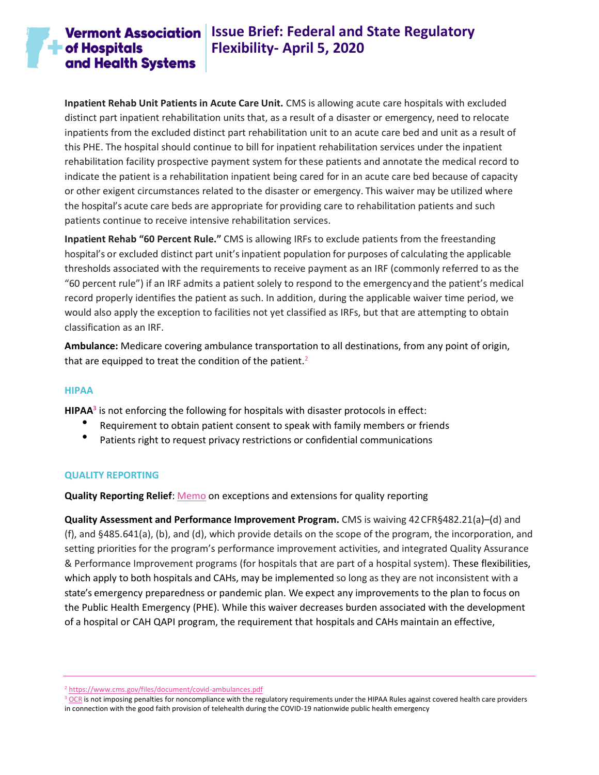## **Vermont Association** Issue Brief: Federal and State Regulatory **Flexibility- April 5, 2020**

**Inpatient Rehab Unit Patients in Acute Care Unit.** CMS is allowing acute care hospitals with excluded distinct part inpatient rehabilitation units that, as a result of a disaster or emergency, need to relocate inpatients from the excluded distinct part rehabilitation unit to an acute care bed and unit as a result of this PHE. The hospital should continue to bill for inpatient rehabilitation services under the inpatient rehabilitation facility prospective payment system for these patients and annotate the medical record to indicate the patient is a rehabilitation inpatient being cared for in an acute care bed because of capacity or other exigent circumstances related to the disaster or emergency. This waiver may be utilized where the hospital's acute care beds are appropriate for providing care to rehabilitation patients and such patients continue to receive intensive rehabilitation services.

**Inpatient Rehab "60 Percent Rule."** CMS is allowing IRFs to exclude patients from the freestanding hospital's or excluded distinct part unit'sinpatient population for purposes of calculating the applicable thresholds associated with the requirements to receive payment as an IRF (commonly referred to as the "60 percent rule") if an IRF admits a patient solely to respond to the emergencyand the patient's medical record properly identifies the patient as such. In addition, during the applicable waiver time period, we would also apply the exception to facilities not yet classified as IRFs, but that are attempting to obtain classification as an IRF.

**Ambulance:** Medicare covering ambulance transportation to all destinations, from any point of origin, that are equipped to treat the condition of the patient.<sup>2</sup>

### <span id="page-4-0"></span>**HIPAA**

**HIPAA<sup>3</sup>** is not enforcing the following for hospitals with disaster protocols in effect:

- Requirement to obtain patient consent to speak with family members or friends
- Patients right to request privacy restrictions or confidential communications

### <span id="page-4-1"></span>**QUALITY REPORTING**

**Quality Reporting Relief**: [Memo](https://www.cms.gov/files/document/guidance-memo-exceptions-and-extensions-quality-reporting-and-value-based-purchasing-programs.pdf) on exceptions and extensions for quality reporting

**Quality Assessment and Performance Improvement Program.** CMS is waiving 42 CFR§482.21(a)–(d) and (f), and §485.641(a), (b), and (d), which provide details on the scope of the program, the incorporation, and setting priorities for the program's performance improvement activities, and integrated Quality Assurance & Performance Improvement programs (for hospitals that are part of a hospital system). These flexibilities, which apply to both hospitals and CAHs, may be implemented so long as they are not inconsistent with a state's emergency preparedness or pandemic plan. We expect any improvements to the plan to focus on the Public Health Emergency (PHE). While this waiver decreases burden associated with the development of a hospital or CAH QAPI program, the requirement that hospitals and CAHs maintain an effective,

<sup>2</sup> <https://www.cms.gov/files/document/covid-ambulances.pdf>

<sup>&</sup>lt;sup>3</sup> [OCR](https://www.hhs.gov/hipaa/for-professionals/special-topics/emergency-preparedness/notification-enforcement-discretion-telehealth/index.html) is not imposing penalties for noncompliance with the regulatory requirements under the HIPAA Rules against covered health care providers in connection with the good faith provision of telehealth during the COVID-19 nationwide public health emergency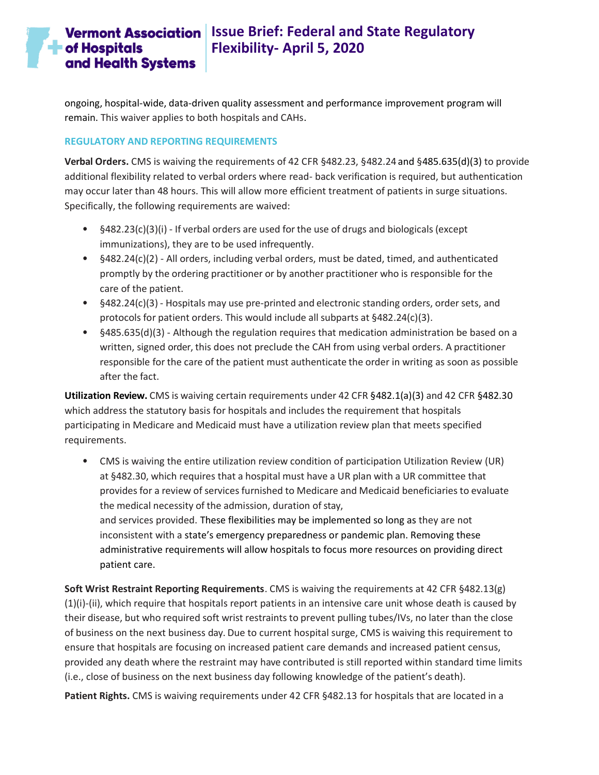# **Vermont Association** Issue Brief: Federal and State Regulatory **Flexibility- April 5, 2020**

ongoing, hospital-wide, data-driven quality assessment and performance improvement program will remain. This waiver applies to both hospitals and CAHs.

## <span id="page-5-0"></span>**REGULATORY AND REPORTING REQUIREMENTS**

**Verbal Orders.** CMS is waiving the requirements of 42 CFR §482.23, §482.24 and §485.635(d)(3) to provide additional flexibility related to verbal orders where read- back verification is required, but authentication may occur later than 48 hours. This will allow more efficient treatment of patients in surge situations. Specifically, the following requirements are waived:

- §482.23(c)(3)(i) If verbal orders are used forthe use of drugs and biologicals (except immunizations), they are to be used infrequently.
- §482.24(c)(2) All orders, including verbal orders, must be dated, timed, and authenticated promptly by the ordering practitioner or by another practitioner who is responsible for the care of the patient.
- §482.24(c)(3) Hospitals may use pre-printed and electronic standing orders, order sets, and protocols for patient orders. This would include all subparts at §482.24(c)(3).
- §485.635(d)(3) Although the regulation requires that medication administration be based on a written, signed order, this does not preclude the CAH from using verbal orders. A practitioner responsible for the care of the patient must authenticate the order in writing as soon as possible after the fact.

**Utilization Review.** CMS is waiving certain requirements under 42 CFR §482.1(a)(3) and 42 CFR §482.30 which address the statutory basis for hospitals and includes the requirement that hospitals participating in Medicare and Medicaid must have a utilization review plan that meets specified requirements.

• CMS is waiving the entire utilization review condition of participation Utilization Review (UR) at §482.30, which requires that a hospital must have a UR plan with a UR committee that provides for a review of services furnished to Medicare and Medicaid beneficiaries to evaluate the medical necessity of the admission, duration of stay, and services provided. These flexibilities may be implemented so long as they are not inconsistent with a state's emergency preparedness or pandemic plan. Removing these administrative requirements will allow hospitals to focus more resources on providing direct patient care.

**Soft Wrist Restraint Reporting Requirements**. CMS is waiving the requirements at 42 CFR §482.13(g) (1)(i)-(ii), which require that hospitals report patients in an intensive care unit whose death is caused by their disease, but who required soft wrist restraints to prevent pulling tubes/IVs, no later than the close of business on the next business day. Due to current hospital surge, CMS is waiving this requirement to ensure that hospitals are focusing on increased patient care demands and increased patient census, provided any death where the restraint may have contributed is still reported within standard time limits (i.e., close of business on the next business day following knowledge of the patient's death).

**Patient Rights.** CMS is waiving requirements under 42 CFR §482.13 for hospitals that are located in a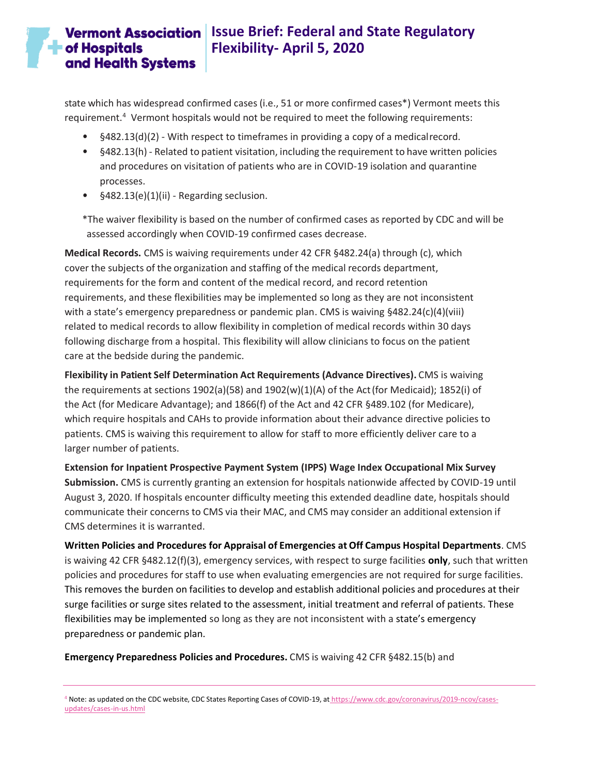# **Vermont Association** Issue Brief: Federal and State Regulatory **Flexibility- April 5, 2020**

state which has widespread confirmed cases (i.e., 51 or more confirmed cases\*) Vermont meets this requirement.<sup>4</sup> Vermont hospitals would not be required to meet the following requirements:

- §482.13(d)(2) With respect to timeframes in providing a copy of a medicalrecord.
- §482.13(h) Related to patient visitation, including the requirement to have written policies and procedures on visitation of patients who are in COVID-19 isolation and quarantine processes.
- §482.13(e)(1)(ii) Regarding seclusion.

\*The waiver flexibility is based on the number of confirmed cases as reported by CDC and will be assessed accordingly when COVID-19 confirmed cases decrease.

**Medical Records.** CMS is waiving requirements under 42 CFR §482.24(a) through (c), which cover the subjects of the organization and staffing of the medical records department, requirements for the form and content of the medical record, and record retention requirements, and these flexibilities may be implemented so long as they are not inconsistent with a state's emergency preparedness or pandemic plan. CMS is waiving §482.24(c)(4)(viii) related to medical records to allow flexibility in completion of medical records within 30 days following discharge from a hospital. This flexibility will allow clinicians to focus on the patient care at the bedside during the pandemic.

**Flexibility in Patient Self Determination Act Requirements (Advance Directives).** CMS is waiving the requirements at sections 1902(a)(58) and 1902(w)(1)(A) of the Act(for Medicaid); 1852(i) of the Act (for Medicare Advantage); and 1866(f) of the Act and 42 CFR §489.102 (for Medicare), which require hospitals and CAHs to provide information about their advance directive policies to patients. CMS is waiving this requirement to allow for staff to more efficiently deliver care to a larger number of patients.

**Extension for Inpatient Prospective Payment System (IPPS) Wage Index Occupational Mix Survey Submission.** CMS is currently granting an extension for hospitals nationwide affected by COVID-19 until August 3, 2020. If hospitals encounter difficulty meeting this extended deadline date, hospitals should communicate their concerns to CMS via their MAC, and CMS may consider an additional extension if CMS determines it is warranted.

**Written Policies and Procedures for Appraisal of Emergencies at Off Campus Hospital Departments**. CMS is waiving 42 CFR §482.12(f)(3), emergency services, with respect to surge facilities **only**, such that written policies and procedures for staff to use when evaluating emergencies are not required for surge facilities. This removes the burden on facilities to develop and establish additional policies and procedures at their surge facilities or surge sites related to the assessment, initial treatment and referral of patients. These flexibilities may be implemented so long as they are not inconsistent with a state's emergency preparedness or pandemic plan.

**Emergency Preparedness Policies and Procedures.** CMS is waiving 42 CFR §482.15(b) and

4 Note: as updated on the CDC website, CDC States Reporting Cases of COVID-19, at [https://www.cdc.gov/coronavirus/2019-ncov/cases](https://www.cdc.gov/coronavirus/2019-ncov/cases-updates/cases-in-us.html)[updates/cases-in-us.html](https://www.cdc.gov/coronavirus/2019-ncov/cases-updates/cases-in-us.html)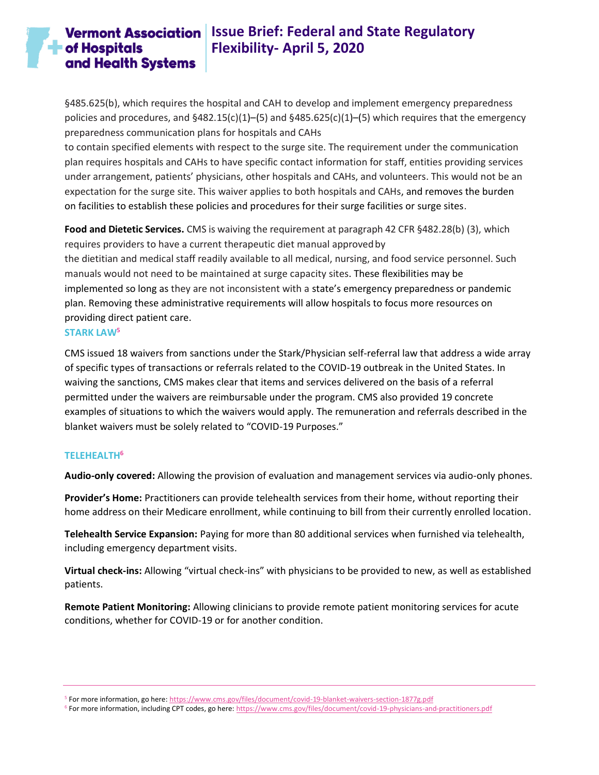## **Vermont Association** Issue Brief: Federal and State Regulatory **Flexibility- April 5, 2020**

§485.625(b), which requires the hospital and CAH to develop and implement emergency preparedness policies and procedures, and  $§482.15(c)(1)–(5)$  and  $§485.625(c)(1)–(5)$  which requires that the emergency preparedness communication plans for hospitals and CAHs

to contain specified elements with respect to the surge site. The requirement under the communication plan requires hospitals and CAHs to have specific contact information for staff, entities providing services under arrangement, patients' physicians, other hospitals and CAHs, and volunteers. This would not be an expectation for the surge site. This waiver applies to both hospitals and CAHs, and removes the burden on facilities to establish these policies and procedures for their surge facilities or surge sites.

**Food and Dietetic Services.** CMS is waiving the requirement at paragraph 42 CFR §482.28(b) (3), which requires providers to have a current therapeutic diet manual approvedby the dietitian and medical staff readily available to all medical, nursing, and food service personnel. Such manuals would not need to be maintained at surge capacity sites. These flexibilities may be implemented so long as they are not inconsistent with a state's emergency preparedness or pandemic plan. Removing these administrative requirements will allow hospitals to focus more resources on providing direct patient care.

#### <span id="page-7-0"></span>**STARK LAW<sup>5</sup>**

CMS issued 18 waivers from sanctions under the Stark/Physician self-referral law that address a wide array of specific types of transactions or referrals related to the COVID-19 outbreak in the United States. In waiving the sanctions, CMS makes clear that items and services delivered on the basis of a referral permitted under the waivers are reimbursable under the program. CMS also provided 19 concrete examples of situations to which the waivers would apply. The remuneration and referrals described in the blanket waivers must be solely related to "COVID-19 Purposes."

## <span id="page-7-1"></span>**TELEHEALTH<sup>6</sup>**

**Audio-only covered:** Allowing the provision of evaluation and management services via audio-only phones.

**Provider's Home:** Practitioners can provide telehealth services from their home, without reporting their home address on their Medicare enrollment, while continuing to bill from their currently enrolled location.

**Telehealth Service Expansion:** Paying for more than 80 additional services when furnished via telehealth, including emergency department visits.

**Virtual check-ins:** Allowing "virtual check-ins" with physicians to be provided to new, as well as established patients.

**Remote Patient Monitoring:** Allowing clinicians to provide remote patient monitoring services for acute conditions, whether for COVID-19 or for another condition.

<sup>5</sup> For more information, go here[: https://www.cms.gov/files/document/covid-19-blanket-waivers-section-1877g.pdf](https://www.cms.gov/files/document/covid-19-blanket-waivers-section-1877g.pdf)

<sup>6</sup> For more information, including CPT codes, go here[: https://www.cms.gov/files/document/covid-19-physicians-and-practitioners.pdf](https://www.cms.gov/files/document/covid-19-physicians-and-practitioners.pdf)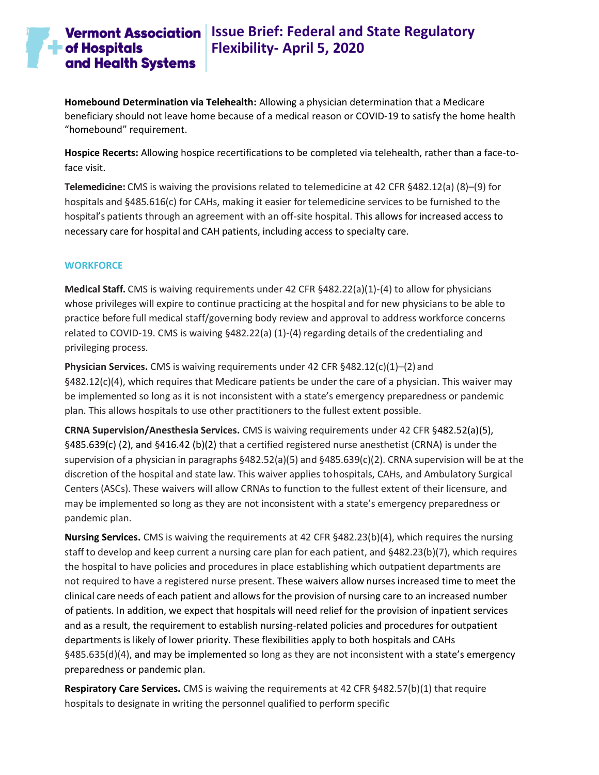# **The of Hospitals** and Health Systems

## **Vermont Association** Issue Brief: Federal and State Regulatory **Flexibility- April 5, 2020**

**Homebound Determination via Telehealth:** Allowing a physician determination that a Medicare beneficiary should not leave home because of a medical reason or COVID-19 to satisfy the home health "homebound" requirement.

**Hospice Recerts:** Allowing hospice recertifications to be completed via telehealth, rather than a face-toface visit.

**Telemedicine:** CMS is waiving the provisions related to telemedicine at 42 CFR §482.12(a) (8)–(9) for hospitals and §485.616(c) for CAHs, making it easier for telemedicine services to be furnished to the hospital's patients through an agreement with an off-site hospital. This allows for increased access to necessary care for hospital and CAH patients, including access to specialty care.

## <span id="page-8-0"></span>**WORKFORCE**

**Medical Staff.** CMS is waiving requirements under 42 CFR §482.22(a)(1)-(4) to allow for physicians whose privileges will expire to continue practicing at the hospital and for new physicians to be able to practice before full medical staff/governing body review and approval to address workforce concerns related to COVID-19. CMS is waiving §482.22(a) (1)-(4) regarding details of the credentialing and privileging process.

**Physician Services.** CMS is waiving requirements under 42 CFR §482.12(c)(1)–(2) and §482.12(c)(4), which requires that Medicare patients be under the care of a physician. This waiver may be implemented so long as it is not inconsistent with a state's emergency preparedness or pandemic plan. This allows hospitals to use other practitioners to the fullest extent possible.

**CRNA Supervision/Anesthesia Services.** CMS is waiving requirements under 42 CFR §482.52(a)(5), §485.639(c) (2), and §416.42 (b)(2) that a certified registered nurse anesthetist (CRNA) is under the supervision of a physician in paragraphs §482.52(a)(5) and §485.639(c)(2). CRNA supervision will be at the discretion of the hospital and state law. This waiver applies tohospitals, CAHs, and Ambulatory Surgical Centers (ASCs). These waivers will allow CRNAs to function to the fullest extent of their licensure, and may be implemented so long as they are not inconsistent with a state's emergency preparedness or pandemic plan.

**Nursing Services.** CMS is waiving the requirements at 42 CFR §482.23(b)(4), which requires the nursing staff to develop and keep current a nursing care plan for each patient, and §482.23(b)(7), which requires the hospital to have policies and procedures in place establishing which outpatient departments are not required to have a registered nurse present. These waivers allow nurses increased time to meet the clinical care needs of each patient and allows for the provision of nursing care to an increased number of patients. In addition, we expect that hospitals will need relief for the provision of inpatient services and as a result, the requirement to establish nursing-related policies and procedures for outpatient departments is likely of lower priority. These flexibilities apply to both hospitals and CAHs §485.635(d)(4), and may be implemented so long as they are not inconsistent with a state's emergency preparedness or pandemic plan.

**Respiratory Care Services.** CMS is waiving the requirements at 42 CFR §482.57(b)(1) that require hospitals to designate in writing the personnel qualified to perform specific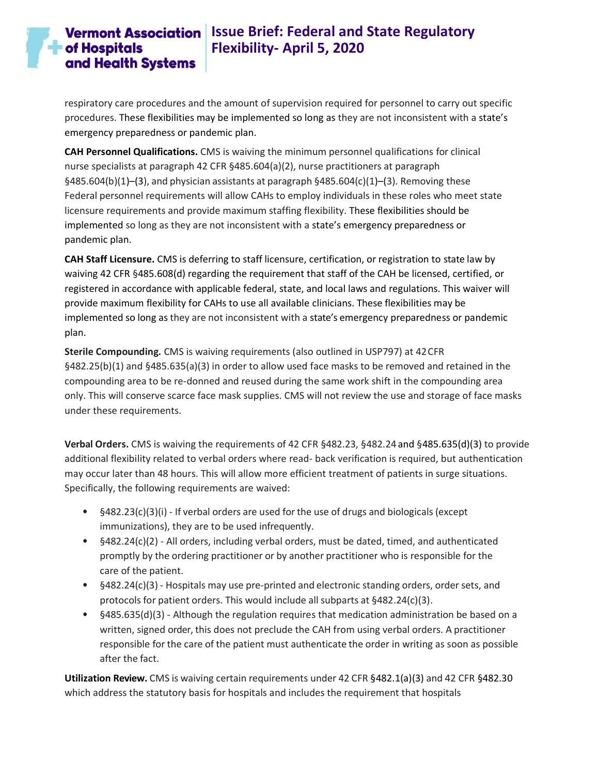# **Vermont Association** Issue Brief: Federal and State Regulatory **Flexibility- April 5, 2020**

respiratory care procedures and the amount of supervision required for personnel to carry out specific procedures. These flexibilities may be implemented so long as they are not inconsistent with a state's emergency preparedness or pandemic plan.

**CAH Personnel Qualifications.** CMS is waiving the minimum personnel qualifications for clinical nurse specialists at paragraph 42 CFR §485.604(a)(2), nurse practitioners at paragraph §485.604(b)(1)–(3), and physician assistants at paragraph §485.604(c)(1)–(3). Removing these Federal personnel requirements will allow CAHs to employ individuals in these roles who meet state licensure requirements and provide maximum staffing flexibility. These flexibilities should be implemented so long as they are not inconsistent with a state's emergency preparedness or pandemic plan.

**CAH Staff Licensure.** CMS is deferring to staff licensure, certification, or registration to state law by waiving 42 CFR §485.608(d) regarding the requirement that staff of the CAH be licensed, certified, or registered in accordance with applicable federal, state, and local laws and regulations. This waiver will provide maximum flexibility for CAHs to use all available clinicians. These flexibilities may be implemented so long as they are not inconsistent with a state's emergency preparedness or pandemic plan.

**Sterile Compounding.** CMS is waiving requirements (also outlined in USP797) at 42CFR §482.25(b)(1) and §485.635(a)(3) in order to allow used face masks to be removed and retained in the compounding area to be re-donned and reused during the same work shift in the compounding area only. This will conserve scarce face mask supplies. CMS will not review the use and storage of face masks under these requirements.

**Verbal Orders.** CMS is waiving the requirements of 42 CFR §482.23, §482.24 and §485.635(d)(3) to provide additional flexibility related to verbal orders where read- back verification is required, but authentication may occur later than 48 hours. This will allow more efficient treatment of patients in surge situations. Specifically, the following requirements are waived:

- §482.23(c)(3)(i) If verbal orders are used forthe use of drugs and biologicals (except immunizations), they are to be used infrequently.
- §482.24(c)(2) All orders, including verbal orders, must be dated, timed, and authenticated promptly by the ordering practitioner or by another practitioner who is responsible for the care of the patient.
- §482.24(c)(3) Hospitals may use pre-printed and electronic standing orders, order sets, and protocols for patient orders. This would include all subparts at §482.24(c)(3).
- §485.635(d)(3) Although the regulation requires that medication administration be based on a written, signed order, this does not preclude the CAH from using verbal orders. A practitioner responsible for the care of the patient must authenticate the order in writing as soon as possible after the fact.

**Utilization Review.** CMS is waiving certain requirements under 42 CFR §482.1(a)(3) and 42 CFR §482.30 which address the statutory basis for hospitals and includes the requirement that hospitals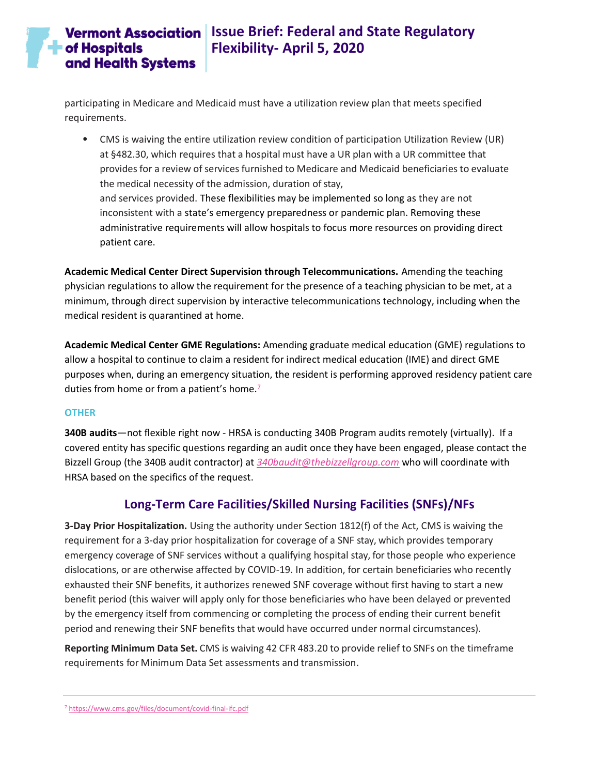## **Vermont Association** Issue Brief: Federal and State Regulatory **Flexibility- April 5, 2020**

participating in Medicare and Medicaid must have a utilization review plan that meets specified requirements.

• CMS is waiving the entire utilization review condition of participation Utilization Review (UR) at §482.30, which requires that a hospital must have a UR plan with a UR committee that provides for a review of services furnished to Medicare and Medicaid beneficiaries to evaluate the medical necessity of the admission, duration of stay, and services provided. These flexibilities may be implemented so long as they are not inconsistent with a state's emergency preparedness or pandemic plan. Removing these administrative requirements will allow hospitals to focus more resources on providing direct patient care.

**Academic Medical Center Direct Supervision through Telecommunications.** Amending the teaching physician regulations to allow the requirement for the presence of a teaching physician to be met, at a minimum, through direct supervision by interactive telecommunications technology, including when the medical resident is quarantined at home.

**Academic Medical Center GME Regulations:** Amending graduate medical education (GME) regulations to allow a hospital to continue to claim a resident for indirect medical education (IME) and direct GME purposes when, during an emergency situation, the resident is performing approved residency patient care duties from home or from a patient's home. 7

### <span id="page-10-0"></span>**OTHER**

**340B audits**—not flexible right now - HRSA is conducting 340B Program audits remotely (virtually). If a covered entity has specific questions regarding an audit once they have been engaged, please contact the Bizzell Group (the 340B audit contractor) at *[340baudit@thebizzellgroup.com](mailto:340baudit@thebizzellgroup.com?subject=Virtual%20Audit%20Questions)* who will coordinate with HRSA based on the specifics of the request.

## **Long-Term Care Facilities/Skilled Nursing Facilities (SNFs)/NFs**

<span id="page-10-1"></span>**3-Day Prior Hospitalization.** Using the authority under Section 1812(f) of the Act, CMS is waiving the requirement for a 3-day prior hospitalization for coverage of a SNF stay, which provides temporary emergency coverage of SNF services without a qualifying hospital stay, for those people who experience dislocations, or are otherwise affected by COVID-19. In addition, for certain beneficiaries who recently exhausted their SNF benefits, it authorizes renewed SNF coverage without first having to start a new benefit period (this waiver will apply only for those beneficiaries who have been delayed or prevented by the emergency itself from commencing or completing the process of ending their current benefit period and renewing their SNF benefits that would have occurred under normal circumstances).

**Reporting Minimum Data Set.** CMS is waiving 42 CFR 483.20 to provide relief to SNFs on the timeframe requirements for Minimum Data Set assessments and transmission.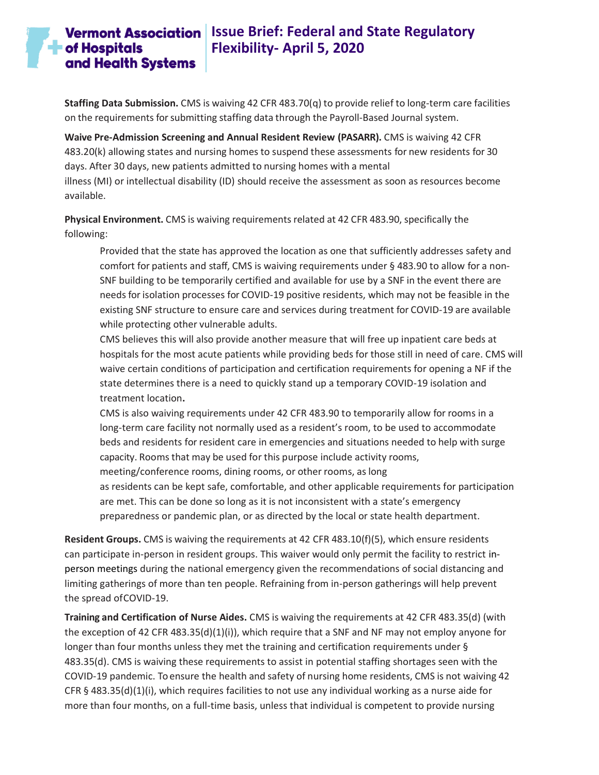## **Vermont Association** Issue Brief: Federal and State Regulatory **Flexibility- April 5, 2020**

**Staffing Data Submission.** CMS is waiving 42 CFR 483.70(q) to provide relief to long-term care facilities on the requirements forsubmitting staffing data through the Payroll-Based Journal system.

**Waive Pre-Admission Screening and Annual Resident Review (PASARR).** CMS is waiving 42 CFR 483.20(k) allowing states and nursing homes to suspend these assessments for new residents for 30 days. After 30 days, new patients admitted to nursing homes with a mental illness (MI) or intellectual disability (ID) should receive the assessment as soon as resources become available.

**Physical Environment.** CMS is waiving requirements related at 42 CFR 483.90, specifically the following:

Provided that the state has approved the location as one that sufficiently addresses safety and comfort for patients and staff, CMS is waiving requirements under § 483.90 to allow for a non-SNF building to be temporarily certified and available for use by a SNF in the event there are needs for isolation processes for COVID-19 positive residents, which may not be feasible in the existing SNF structure to ensure care and services during treatment for COVID-19 are available while protecting other vulnerable adults.

CMS believes this will also provide another measure that will free up inpatient care beds at hospitals for the most acute patients while providing beds for those still in need of care. CMS will waive certain conditions of participation and certification requirements for opening a NF if the state determines there is a need to quickly stand up a temporary COVID-19 isolation and treatment location**.**

CMS is also waiving requirements under 42 CFR 483.90 to temporarily allow for rooms in a long-term care facility not normally used as a resident's room, to be used to accommodate beds and residents for resident care in emergencies and situations needed to help with surge capacity. Rooms that may be used for this purpose include activity rooms,

meeting/conference rooms, dining rooms, or other rooms, as long

as residents can be kept safe, comfortable, and other applicable requirements for participation are met. This can be done so long as it is not inconsistent with a state's emergency preparedness or pandemic plan, or as directed by the local or state health department.

**Resident Groups.** CMS is waiving the requirements at 42 CFR 483.10(f)(5), which ensure residents can participate in-person in resident groups. This waiver would only permit the facility to restrict inperson meetings during the national emergency given the recommendations of social distancing and limiting gatherings of more than ten people. Refraining from in-person gatherings will help prevent the spread ofCOVID-19.

**Training and Certification of Nurse Aides.** CMS is waiving the requirements at 42 CFR 483.35(d) (with the exception of 42 CFR 483.35(d)(1)(i)), which require that a SNF and NF may not employ anyone for longer than four months unless they met the training and certification requirements under § 483.35(d). CMS is waiving these requirements to assist in potential staffing shortages seen with the COVID-19 pandemic. To ensure the health and safety of nursing home residents, CMS is not waiving 42 CFR § 483.35(d)(1)(i), which requires facilities to not use any individual working as a nurse aide for more than four months, on a full-time basis, unless that individual is competent to provide nursing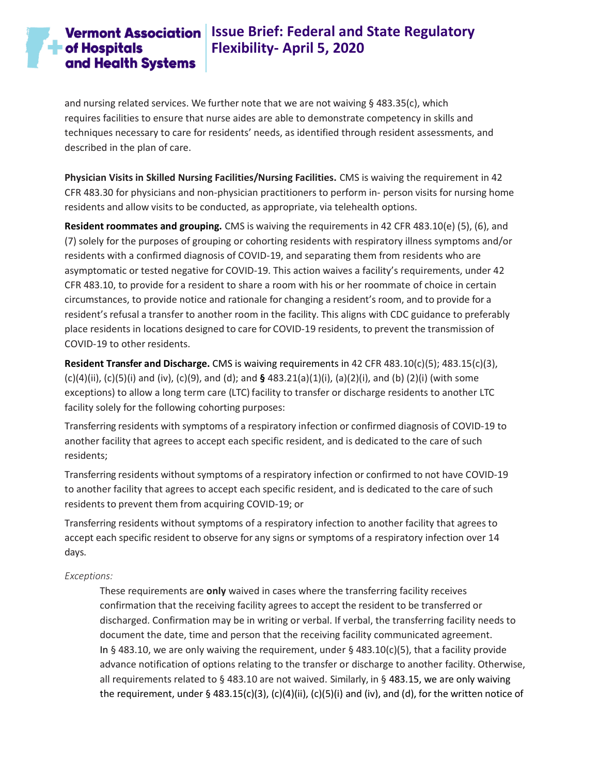# **Vermont Association** Issue Brief: Federal and State Regulatory **Flexibility- April 5, 2020**

and nursing related services. We further note that we are not waiving § 483.35(c), which requires facilities to ensure that nurse aides are able to demonstrate competency in skills and techniques necessary to care for residents' needs, as identified through resident assessments, and described in the plan of care.

**Physician Visits in Skilled Nursing Facilities/Nursing Facilities.** CMS is waiving the requirement in 42 CFR 483.30 for physicians and non-physician practitioners to perform in- person visits for nursing home residents and allow visits to be conducted, as appropriate, via telehealth options.

**Resident roommates and grouping.** CMS is waiving the requirements in 42 CFR 483.10(e) (5), (6), and (7) solely for the purposes of grouping or cohorting residents with respiratory illness symptoms and/or residents with a confirmed diagnosis of COVID-19, and separating them from residents who are asymptomatic or tested negative for COVID-19. This action waives a facility's requirements, under 42 CFR 483.10, to provide for a resident to share a room with his or her roommate of choice in certain circumstances, to provide notice and rationale for changing a resident's room, and to provide for a resident's refusal a transfer to another room in the facility. This aligns with CDC guidance to preferably place residents in locations designed to care for COVID-19 residents, to prevent the transmission of COVID-19 to other residents.

**Resident Transfer and Discharge.** CMS is waiving requirements in 42 CFR 483.10(c)(5); 483.15(c)(3), (c)(4)(ii), (c)(5)(i) and (iv), (c)(9), and (d); and **§** 483.21(a)(1)(i), (a)(2)(i), and (b) (2)(i) (with some exceptions) to allow a long term care (LTC) facility to transfer or discharge residents to another LTC facility solely for the following cohorting purposes:

Transferring residents with symptoms of a respiratory infection or confirmed diagnosis of COVID-19 to another facility that agrees to accept each specific resident, and is dedicated to the care of such residents;

Transferring residents without symptoms of a respiratory infection or confirmed to not have COVID-19 to another facility that agrees to accept each specific resident, and is dedicated to the care of such residents to prevent them from acquiring COVID-19; or

Transferring residents without symptoms of a respiratory infection to another facility that agrees to accept each specific resident to observe for any signs or symptoms of a respiratory infection over 14 days.

## *Exceptions:*

These requirements are **only** waived in cases where the transferring facility receives confirmation that the receiving facility agrees to accept the resident to be transferred or discharged. Confirmation may be in writing or verbal. If verbal, the transferring facility needs to document the date, time and person that the receiving facility communicated agreement. In § 483.10, we are only waiving the requirement, under § 483.10(c)(5), that a facility provide advance notification of options relating to the transfer or discharge to another facility. Otherwise, all requirements related to § 483.10 are not waived. Similarly, in § 483.15, we are only waiving the requirement, under § 483.15(c)(3), (c)(4)(ii), (c)(5)(i) and (iv), and (d), for the written notice of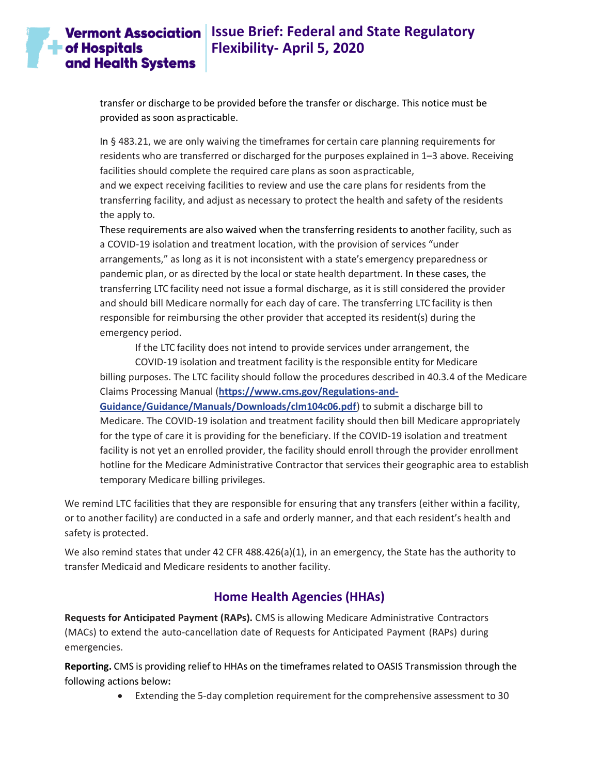## **Vermont Association** Issue Brief: Federal and State Regulatory **Flexibility- April 5, 2020**

transfer or discharge to be provided before the transfer or discharge. This notice must be provided as soon aspracticable.

In § 483.21, we are only waiving the timeframes for certain care planning requirements for residents who are transferred or discharged forthe purposes explained in 1–3 above. Receiving facilities should complete the required care plans as soon aspracticable,

and we expect receiving facilities to review and use the care plans for residents from the transferring facility, and adjust as necessary to protect the health and safety of the residents the apply to.

These requirements are also waived when the transferring residents to another facility, such as a COVID-19 isolation and treatment location, with the provision of services "under arrangements," as long as it is not inconsistent with a state's emergency preparedness or pandemic plan, or as directed by the local or state health department. In these cases, the transferring LTC facility need not issue a formal discharge, as it is still considered the provider and should bill Medicare normally for each day of care. The transferring LTC facility is then responsible for reimbursing the other provider that accepted its resident(s) during the emergency period.

If the LTC facility does not intend to provide services under arrangement, the

COVID-19 isolation and treatment facility is the responsible entity for Medicare billing purposes. The LTC facility should follow the procedures described in 40.3.4 of the Medicare Claims Processing Manual (**[https://www.cms.gov/Regulations-and-](https://www.cms.gov/Regulations-and-Guidance/Guidance/Manuals/Downloads/clm104c06.pdf)**

**[Guidance/Guidance/Manuals/Downloads/clm104c06.pdf](https://www.cms.gov/Regulations-and-Guidance/Guidance/Manuals/Downloads/clm104c06.pdf)**) to submit a discharge bill to Medicare. The COVID-19 isolation and treatment facility should then bill Medicare appropriately for the type of care it is providing for the beneficiary. If the COVID-19 isolation and treatment facility is not yet an enrolled provider, the facility should enroll through the provider enrollment hotline for the Medicare Administrative Contractor that services their geographic area to establish temporary Medicare billing privileges.

We remind LTC facilities that they are responsible for ensuring that any transfers (either within a facility, or to another facility) are conducted in a safe and orderly manner, and that each resident's health and safety is protected.

We also remind states that under 42 CFR 488.426(a)(1), in an emergency, the State has the authority to transfer Medicaid and Medicare residents to another facility.

## **Home Health Agencies (HHAs)**

<span id="page-13-0"></span>**Requests for Anticipated Payment (RAPs).** CMS is allowing Medicare Administrative Contractors (MACs) to extend the auto-cancellation date of Requests for Anticipated Payment (RAPs) during emergencies.

**Reporting.** CMS is providing relief to HHAs on the timeframesrelated to OASIS Transmission through the following actions below**:**

• Extending the 5-day completion requirement forthe comprehensive assessment to 30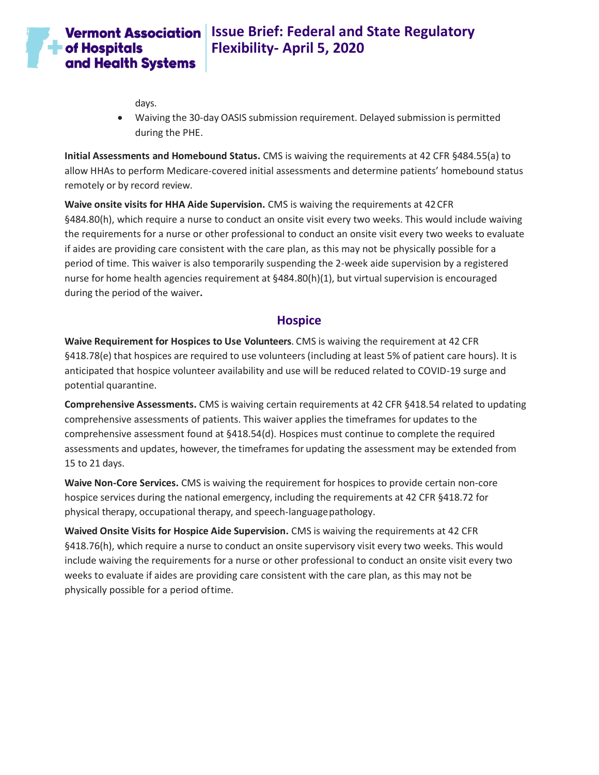

## **Vermont Association** Issue Brief: Federal and State Regulatory **Flexibility- April 5, 2020**

days.

• Waiving the 30-day OASIS submission requirement. Delayed submission is permitted during the PHE.

**Initial Assessments and Homebound Status.** CMS is waiving the requirements at 42 CFR §484.55(a) to allow HHAs to perform Medicare-covered initial assessments and determine patients' homebound status remotely or by record review.

**Waive onsite visits for HHA Aide Supervision.** CMS is waiving the requirements at 42CFR §484.80(h), which require a nurse to conduct an onsite visit every two weeks. This would include waiving the requirements for a nurse or other professional to conduct an onsite visit every two weeks to evaluate if aides are providing care consistent with the care plan, as this may not be physically possible for a period of time. This waiver is also temporarily suspending the 2-week aide supervision by a registered nurse for home health agencies requirement at §484.80(h)(1), but virtual supervision is encouraged during the period of the waiver**.**

## **Hospice**

<span id="page-14-0"></span>**Waive Requirement for Hospices to Use Volunteers**. CMS is waiving the requirement at 42 CFR §418.78(e) that hospices are required to use volunteers (including at least 5% of patient care hours). It is anticipated that hospice volunteer availability and use will be reduced related to COVID-19 surge and potential quarantine.

**Comprehensive Assessments.** CMS is waiving certain requirements at 42 CFR §418.54 related to updating comprehensive assessments of patients. This waiver applies the timeframes for updates to the comprehensive assessment found at §418.54(d). Hospices must continue to complete the required assessments and updates, however, the timeframes for updating the assessment may be extended from 15 to 21 days.

**Waive Non-Core Services.** CMS is waiving the requirement for hospices to provide certain non-core hospice services during the national emergency, including the requirements at 42 CFR §418.72 for physical therapy, occupational therapy, and speech-languagepathology.

**Waived Onsite Visits for Hospice Aide Supervision.** CMS is waiving the requirements at 42 CFR §418.76(h), which require a nurse to conduct an onsite supervisory visit every two weeks. This would include waiving the requirements for a nurse or other professional to conduct an onsite visit every two weeks to evaluate if aides are providing care consistent with the care plan, as this may not be physically possible for a period oftime.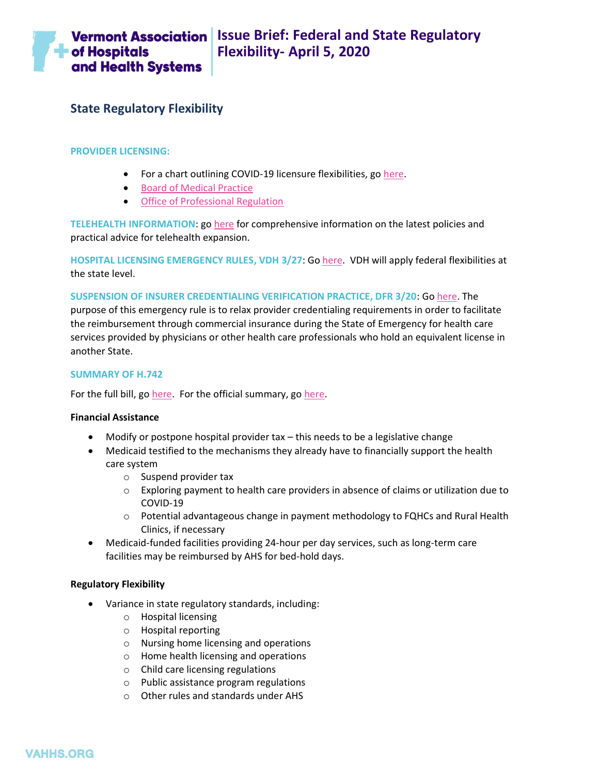

## <span id="page-15-0"></span>**State Regulatory Flexibility**

#### <span id="page-15-1"></span>**PROVIDER LICENSING:**

- For a chart outlining COVID-19 licensure flexibilities, go [here.](https://vahhs.org/client_media/files/Coronavirus/VT%20Licensure%20COVID%2019%203%2024%2020%20v3.pdf)
- [Board of Medical Practice](https://www.healthvermont.gov/health-professionals-systems/board-medical-practice/COVID19)
- [Office of Professional Regulation](https://sos.vermont.gov/opr/about-opr/covid-19-response/)

<span id="page-15-2"></span>**TELEHEALTH INFORMATION**: g[o here](https://www.vpqhc.org/statewide-telehealth-work-group) for comprehensive information on the latest policies and practical advice for telehealth expansion.

<span id="page-15-3"></span>**HOSPITAL LICENSING EMERGENCY RULES, VDH 3/27**: G[o here.](https://www.healthvermont.gov/sites/default/files/documents/pdf/Hospital%20Licensing%20Rule%20-%20E-filing%20Clean%20Text%20.pdf) VDH will apply federal flexibilities at the state level.

<span id="page-15-4"></span>**SUSPENSION OF INSURER CREDENTIALING VERIFICATION PRACTICE, DFR 3/20**: G[o here.](https://dfr.vermont.gov/reg-bul-ord/suspension-credentialing-verification-practices) The purpose of this emergency rule is to relax provider credentialing requirements in order to facilitate the reimbursement through commercial insurance during the State of Emergency for health care services provided by physicians or other health care professionals who hold an equivalent license in another State.

#### <span id="page-15-5"></span>**SUMMARY OF H.742**

For the full bill, go [here.](https://legislature.vermont.gov/Documents/2020/Docs/BILLS/H-0742/H-0742%20As%20Passed%20by%20Both%20House%20and%20Senate%20Unofficial.pdf) For the official summary, go [here.](https://legislature.vermont.gov/Documents/2020/WorkGroups/House%20Appropriations/Bills/H.742/H.742~Jennifer%20Carbee,%20Legislative%20Counsel~Section%20by%20Section%20-%20as%20recommended%20by%20Senate%20Committee%20on%20Health%20and%20Welfare~3-25-2020.pdf)

#### <span id="page-15-6"></span>**Financial Assistance**

- Modify or postpone hospital provider tax this needs to be a legislative change
- Medicaid testified to the mechanisms they already have to financially support the health care system
	- o Suspend provider tax
	- o Exploring payment to health care providers in absence of claims or utilization due to COVID-19
	- o Potential advantageous change in payment methodology to FQHCs and Rural Health Clinics, if necessary
- Medicaid-funded facilities providing 24-hour per day services, such as long-term care facilities may be reimbursed by AHS for bed-hold days.

#### <span id="page-15-7"></span>**Regulatory Flexibility**

- Variance in state regulatory standards, including:
	- o Hospital licensing
	- o Hospital reporting
	- o Nursing home licensing and operations
	- o Home health licensing and operations
	- o Child care licensing regulations
	- o Public assistance program regulations
	- o Other rules and standards under AHS